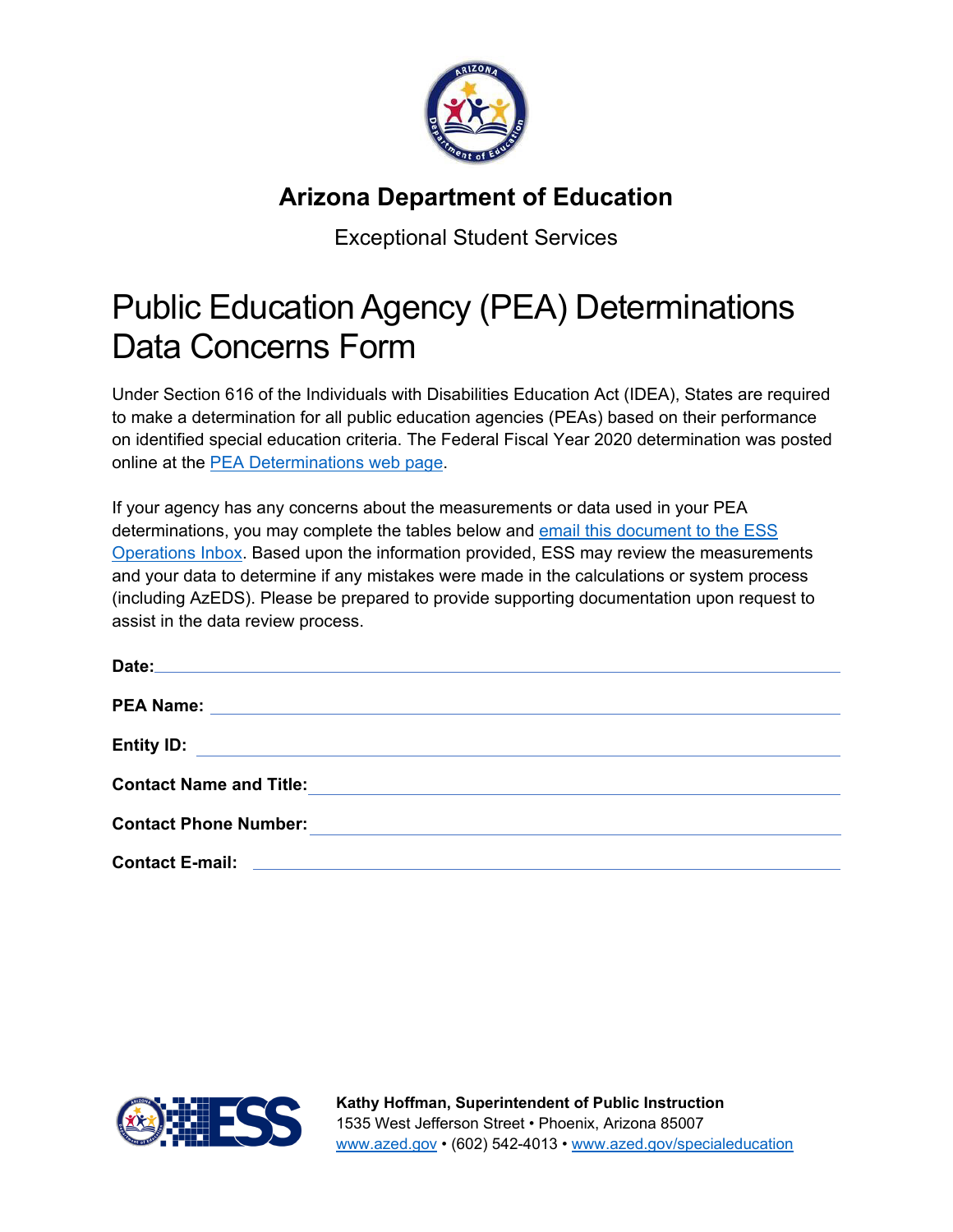

## **Arizona Department of Education**

Exceptional Student Services

## Public Education Agency (PEA) Determinations Data Concerns Form

Under Section 616 of the Individuals with Disabilities Education Act (IDEA), States are required to make a determination for all public education agencies (PEAs) based on their performance on identified special education criteria. The Federal Fiscal Year 2020 determination was posted online at the [PEA Determinations web](https://www.azed.gov/specialeducation/pea-determinations/) page.

If your agency has any concerns about the measurements or data used in your PEA determinations, you may complete the tables below and email this document to the ESS [Operations Inbox.](mailto:%20ESSOperations@azed.gov) Based upon the information provided, ESS may review the measurements and your data to determine if any mistakes were made in the calculations or system process (including AzEDS). Please be prepared to provide supporting documentation upon request to assist in the data review process.

| <b>Entity ID:</b>                                                                   |  |  |
|-------------------------------------------------------------------------------------|--|--|
| <b>Contact Name and Title:</b>                                                      |  |  |
| <b>Contact Phone Number:</b>                                                        |  |  |
| <b>Contact E-mail:</b><br><u> 1980 - Jan Sterlinger, fransk politiker (d. 1980)</u> |  |  |